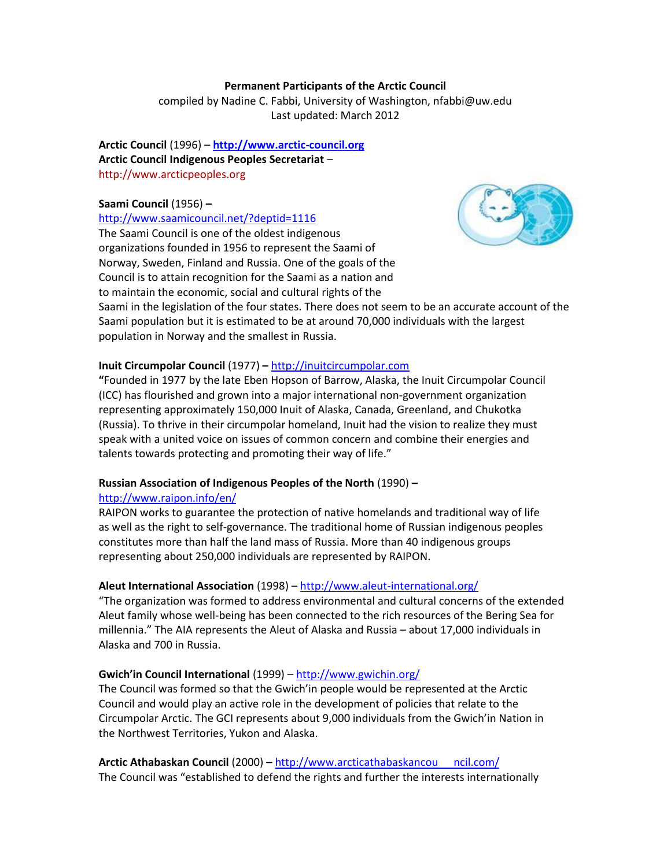### **Permanent Participants of the Arctic Council**

compiled by Nadine C. Fabbi, University of Washington, nfabbi@uw.edu Last updated: March 2012

**Arctic Council** (1996) – **[http://www.arctic-council.org](http://www.arctic-council.org/) Arctic Council Indigenous Peoples Secretariat** – [http://www.arcticpeoples.org](http://www.arcticpeoples.org/)

### **Saami Council** (1956) **–**

<http://www.saamicouncil.net/?deptid=1116>

The Saami Council is one of the oldest indigenous organizations founded in 1956 to represent the Saami of Norway, Sweden, Finland and Russia. One of the goals of the Council is to attain recognition for the Saami as a nation and to maintain the economic, social and cultural rights of the



Saami in the legislation of the four states. There does not seem to be an accurate account of the Saami population but it is estimated to be at around 70,000 individuals with the largest population in Norway and the smallest in Russia.

# **Inuit Circumpolar Council** (1977) **–** [http://inuitcircumpolar.com](http://inuitcircumpolar.com/)

**"**Founded in 1977 by the late Eben Hopson of Barrow, Alaska, the Inuit Circumpolar Council (ICC) has flourished and grown into a major international non-government organization representing approximately 150,000 Inuit of Alaska, Canada, Greenland, and Chukotka (Russia). To thrive in their circumpolar homeland, Inuit had the vision to realize they must speak with a united voice on issues of common concern and combine their energies and talents towards protecting and promoting their way of life."

# **Russian Association of Indigenous Peoples of the North** (1990) **–**

# <http://www.raipon.info/en/>

RAIPON works to guarantee the protection of native homelands and traditional way of life as well as the right to self-governance. The traditional home of Russian indigenous peoples constitutes more than half the land mass of Russia. More than 40 indigenous groups representing about 250,000 individuals are represented by RAIPON.

# **Aleut International Association** (1998) – <http://www.aleut-international.org/>

"The organization was formed to address environmental and cultural concerns of the extended Aleut family whose well-being has been connected to the rich resources of the Bering Sea for millennia." The AIA represents the Aleut of Alaska and Russia – about 17,000 individuals in Alaska and 700 in Russia.

# **Gwich'in Council International** (1999) – <http://www.gwichin.org/>

The Council was formed so that the Gwich'in people would be represented at the Arctic Council and would play an active role in the development of policies that relate to the Circumpolar Arctic. The GCI represents about 9,000 individuals from the Gwich'in Nation in the Northwest Territories, Yukon and Alaska.

**Arctic Athabaskan Council** (2000) **–** [http://www.arcticathabaskancou](http://www.arcticathabaskancouncil.com/) ncil.com/ The Council was "established to defend the rights and further the interests internationally